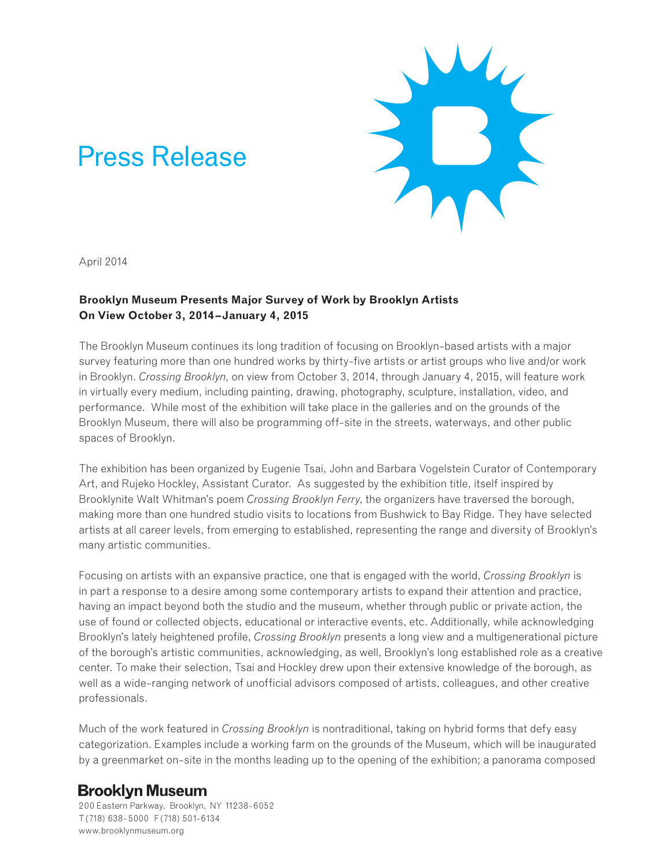# Press Release



April 2014

### **Brooklyn Museum Presents Major Survey of Work by Brooklyn Artists On View October 3, 2014–January 4, 2015**

The Brooklyn Museum continues its long tradition of focusing on Brooklyn-based artists with a major survey featuring more than one hundred works by thirty-five artists or artist groups who live and/or work in Brooklyn. *Crossing Brooklyn*, on view from October 3, 2014, through January 4, 2015, will feature work in virtually every medium, including painting, drawing, photography, sculpture, installation, video, and performance. While most of the exhibition will take place in the galleries and on the grounds of the Brooklyn Museum, there will also be programming off-site in the streets, waterways, and other public spaces of Brooklyn.

The exhibition has been organized by Eugenie Tsai, John and Barbara Vogelstein Curator of Contemporary Art, and Rujeko Hockley, Assistant Curator. As suggested by the exhibition title, itself inspired by Brooklynite Walt Whitman's poem *Crossing Brooklyn Ferry*, the organizers have traversed the borough, making more than one hundred studio visits to locations from Bushwick to Bay Ridge. They have selected artists at all career levels, from emerging to established, representing the range and diversity of Brooklyn's many artistic communities.

Focusing on artists with an expansive practice, one that is engaged with the world, *Crossing Brooklyn* is in part a response to a desire among some contemporary artists to expand their attention and practice, having an impact beyond both the studio and the museum, whether through public or private action, the use of found or collected objects, educational or interactive events, etc. Additionally, while acknowledging Brooklyn's lately heightened profile, *Crossing Brooklyn* presents a long view and a multigenerational picture of the borough's artistic communities, acknowledging, as well, Brooklyn's long established role as a creative center. To make their selection, Tsai and Hockley drew upon their extensive knowledge of the borough, as well as a wide-ranging network of unofficial advisors composed of artists, colleagues, and other creative professionals.

Much of the work featured in *Crossing Brooklyn* is nontraditional, taking on hybrid forms that defy easy categorization. Examples include a working farm on the grounds of the Museum, which will be inaugurated by a greenmarket on-site in the months leading up to the opening of the exhibition; a panorama composed

## **Brooklyn Museum**

200 Eastern Parkway, Brooklyn, NY 11238-6052 T (718) 638-5000 F (718) 501-6134 www.brooklynmuseum.org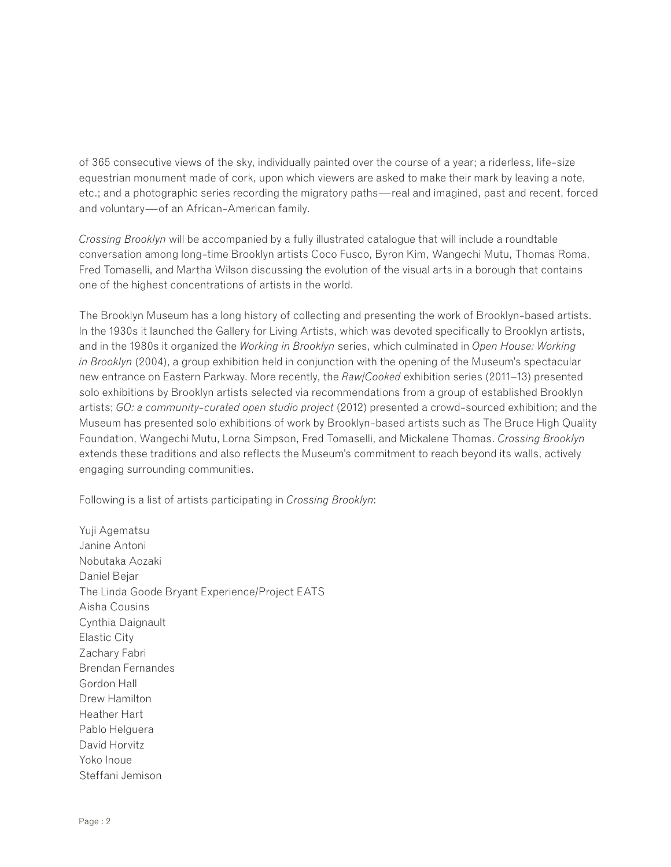of 365 consecutive views of the sky, individually painted over the course of a year; a riderless, life-size equestrian monument made of cork, upon which viewers are asked to make their mark by leaving a note, etc.; and a photographic series recording the migratory paths—real and imagined, past and recent, forced and voluntary—of an African-American family.

*Crossing Brooklyn* will be accompanied by a fully illustrated catalogue that will include a roundtable conversation among long-time Brooklyn artists Coco Fusco, Byron Kim, Wangechi Mutu, Thomas Roma, Fred Tomaselli, and Martha Wilson discussing the evolution of the visual arts in a borough that contains one of the highest concentrations of artists in the world.

The Brooklyn Museum has a long history of collecting and presenting the work of Brooklyn-based artists. In the 1930s it launched the Gallery for Living Artists, which was devoted specifically to Brooklyn artists, and in the 1980s it organized the *Working in Brooklyn* series, which culminated in *Open House: Working in Brooklyn* (2004), a group exhibition held in conjunction with the opening of the Museum's spectacular new entrance on Eastern Parkway. More recently, the *Raw/Cooked* exhibition series (2011–13) presented solo exhibitions by Brooklyn artists selected via recommendations from a group of established Brooklyn artists; *GO: a community-curated open studio project* (2012) presented a crowd-sourced exhibition; and the Museum has presented solo exhibitions of work by Brooklyn-based artists such as The Bruce High Quality Foundation, Wangechi Mutu, Lorna Simpson, Fred Tomaselli, and Mickalene Thomas. *Crossing Brooklyn*  extends these traditions and also reflects the Museum's commitment to reach beyond its walls, actively engaging surrounding communities.

Following is a list of artists participating in *Crossing Brooklyn*:

Yuji Agematsu Janine Antoni Nobutaka Aozaki Daniel Bejar The Linda Goode Bryant Experience/Project EATS Aisha Cousins Cynthia Daignault Elastic City Zachary Fabri Brendan Fernandes Gordon Hall Drew Hamilton Heather Hart Pablo Helguera David Horvitz Yoko Inoue Steffani Jemison